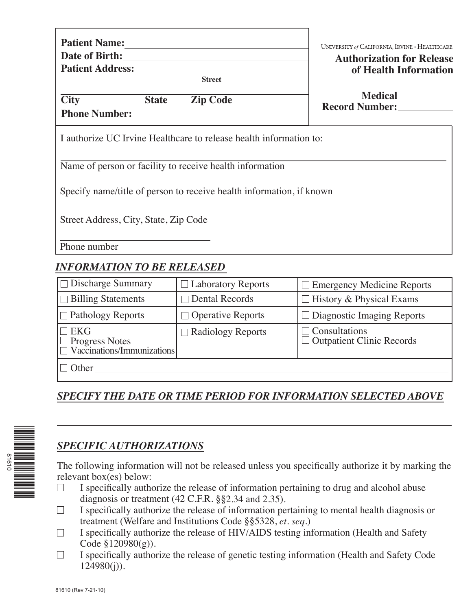| <b>Patient Name:</b> |  |
|----------------------|--|
| Date of Birth:       |  |

**Patient Address:**

**Street**

UNIVERSITY of CALIFORNIA, IRVINE · HEALTHCARE

#### **Authorization for Release of Health Information**

**City State Zip Code**

**Medical Record Number:**

**Phone Number:**

I authorize UC Irvine Healthcare to release health information to:

Name of person or facility to receive health information

Specify name/title of person to receive health information, if known

Street Address, City, State, Zip Code

Phone number

# *INFORMATION TO BE RELEASED*

| $\Box$ Discharge Summary                                                 | $\Box$ Laboratory Reports | $\Box$ Emergency Medicine Reports                 |
|--------------------------------------------------------------------------|---------------------------|---------------------------------------------------|
| $\Box$ Billing Statements                                                | $\Box$ Dental Records     | $\Box$ History & Physical Exams                   |
| $\Box$ Pathology Reports                                                 | $\Box$ Operative Reports  | $\Box$ Diagnostic Imaging Reports                 |
| $\Box$ EKG<br>$\Box$ Progress Notes<br>$\Box$ Vaccinations/Immunizations | $\Box$ Radiology Reports  | $\Box$ Consultations<br>Outpatient Clinic Records |
| $\Box$ Other                                                             |                           |                                                   |

# *SPECIFY THE DATE OR TIME PERIOD FOR INFORMATION SELECTED ABOVE*



# *SPECIFIC AUTHORIZATIONS*

The following information will not be released unless you specifically authorize it by marking the relevant box(es) below:

- $\Box$ I specifically authorize the release of information pertaining to drug and alcohol abuse diagnosis or treatment (42 C.F.R. §§2.34 and 2.35).
- I specifically authorize the release of information pertaining to mental health diagnosis or  $\Box$ treatment (Welfare and Institutions Code §§5328, *et. seq.*)
- I specifically authorize the release of HIV/AIDS testing information (Health and Safety  $\Box$ Code  $$120980(g)$ ).
- $\Box$ I specifically authorize the release of genetic testing information (Health and Safety Code  $124980(i)$ ).